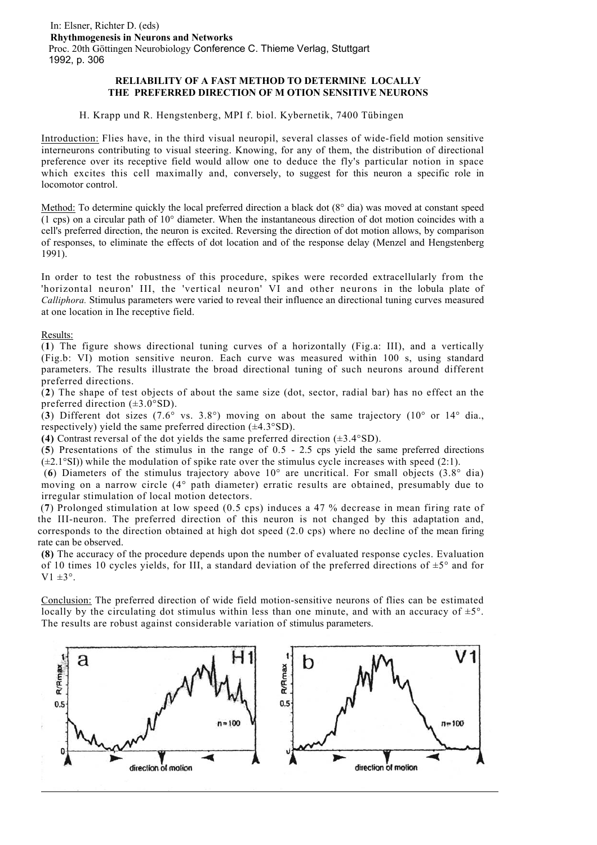## **RELIABILITY OF A FAST METHOD TO DETERMINE LOCALLY THE PREFERRED DIRECTION OF M OTION SENSITIVE NEURONS**

H. Krapp und R. Hengstenberg, MPI f. biol. Kybernetik, 7400 Tübingen

Introduction: Flies have, in the third visual neuropil, several classes of wide-field motion sensitive interneurons contributing to visual steering. Knowing, for any of them, the distribution of directional preference over its receptive field would allow one to deduce the fly's particular notion in space which excites this cell maximally and, conversely, to suggest for this neuron a specific role in locomotor control.

Method: To determine quickly the local preferred direction a black dot (8<sup>o</sup> dia) was moved at constant speed (1 cps) on a circular path of 10° diameter. When the instantaneous direction of dot motion coincides with a cell's preferred direction, the neuron is excited. Reversing the direction of dot motion allows, by comparison of responses, to eliminate the effects of dot location and of the response delay (Menzel and Hengstenberg 1991).

In order to test the robustness of this procedure, spikes were recorded extracellularly from the 'horizontal neuron' III, the 'vertical neuron' VI and other neurons in the lobula plate of *Calliphora.* Stimulus parameters were varied to reveal their influence an directional tuning curves measured at one location in Ihe receptive field.

## Results:

(**1**) The figure shows directional tuning curves of a horizontally (Fig.a: III), and a vertically (Fig.b: VI) motion sensitive neuron. Each curve was measured within 100 s, using standard parameters. The results illustrate the broad directional tuning of such neurons around different preferred directions.

(**2**) The shape of test objects of about the same size (dot, sector, radial bar) has no effect an the preferred direction  $(\pm 3.0^{\circ}SD)$ .

(3) Different dot sizes  $(7.6^{\circ}$  vs. 3.8°) moving on about the same trajectory  $(10^{\circ}$  or  $14^{\circ}$  dia., respectively) yield the same preferred direction  $(\pm 4.3^{\circ}SD)$ .

**(4)** Contrast reversal of the dot yields the same preferred direction (±3.4°SD).

(**5**) Presentations of the stimulus in the range of 0.5 - 2.5 cps yield the same preferred directions  $(\pm 2.1^{\circ}$ SI)) while the modulation of spike rate over the stimulus cycle increases with speed (2:1).

 (**6**) Diameters of the stimulus trajectory above 10° are uncritical. For small objects (3.8° dia) moving on a narrow circle (4° path diameter) erratic results are obtained, presumably due to irregular stimulation of local motion detectors.

 (**7**) Prolonged stimulation at low speed (0.5 cps) induces a 47 % decrease in mean firing rate of the III-neuron. The preferred direction of this neuron is not changed by this adaptation and, corresponds to the direction obtained at high dot speed (2.0 cps) where no decline of the mean firing rate can be observed.

**(8)** The accuracy of the procedure depends upon the number of evaluated response cycles. Evaluation of 10 times 10 cycles yields, for III, a standard deviation of the preferred directions of  $\pm 5^{\circ}$  and for  $V1 \pm 3^\circ$ .

Conclusion: The preferred direction of wide field motion-sensitive neurons of flies can be estimated locally by the circulating dot stimulus within less than one minute, and with an accuracy of  $\pm 5^{\circ}$ . The results are robust against considerable variation of stimulus parameters.